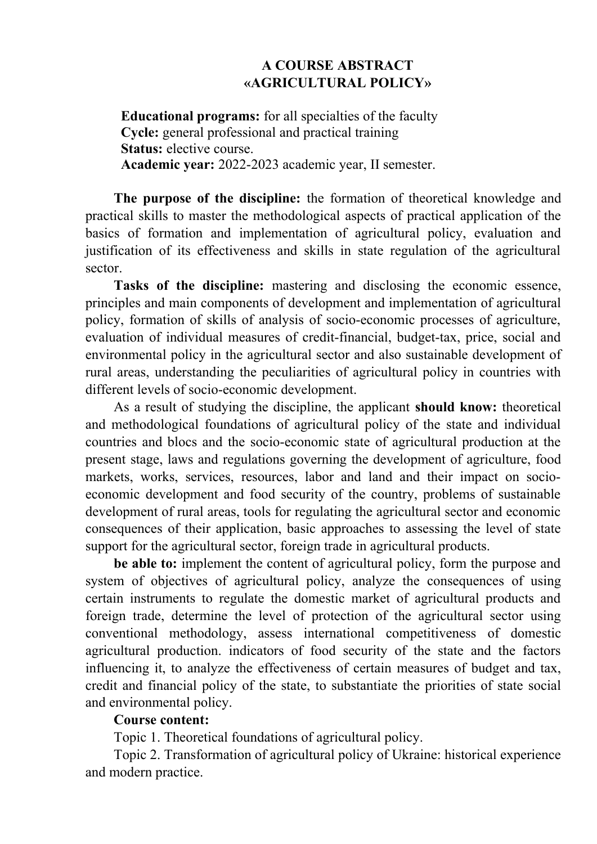## **A COURSE ABSTRACT «AGRICULTURAL POLICY»**

**Educational programs:** for all specialties of the faculty **Cycle:** general professional and practical training **Status:** elective course. **Academic year:** 2022-2023 academic year, ІІ semester.

**The purpose of the discipline:** the formation of theoretical knowledge and practical skills to master the methodological aspects of practical application of the basics of formation and implementation of agricultural policy, evaluation and justification of its effectiveness and skills in state regulation of the agricultural sector.

**Tasks of the discipline:** mastering and disclosing the economic essence, principles and main components of development and implementation of agricultural policy, formation of skills of analysis of socio-economic processes of agriculture, evaluation of individual measures of credit-financial, budget-tax, price, social and environmental policy in the agricultural sector and also sustainable development of rural areas, understanding the peculiarities of agricultural policy in countries with different levels of socio-economic development.

As a result of studying the discipline, the applicant **should know:** theoretical and methodological foundations of agricultural policy of the state and individual countries and blocs and the socio-economic state of agricultural production at the present stage, laws and regulations governing the development of agriculture, food markets, works, services, resources, labor and land and their impact on socioeconomic development and food security of the country, problems of sustainable development of rural areas, tools for regulating the agricultural sector and economic consequences of their application, basic approaches to assessing the level of state support for the agricultural sector, foreign trade in agricultural products.

**be able to:** implement the content of agricultural policy, form the purpose and system of objectives of agricultural policy, analyze the consequences of using certain instruments to regulate the domestic market of agricultural products and foreign trade, determine the level of protection of the agricultural sector using conventional methodology, assess international competitiveness of domestic agricultural production. indicators of food security of the state and the factors influencing it, to analyze the effectiveness of certain measures of budget and tax, credit and financial policy of the state, to substantiate the priorities of state social and environmental policy.

## **Course content:**

Topic 1. Theoretical foundations of agricultural policy.

Topic 2. Transformation of agricultural policy of Ukraine: historical experience and modern practice.